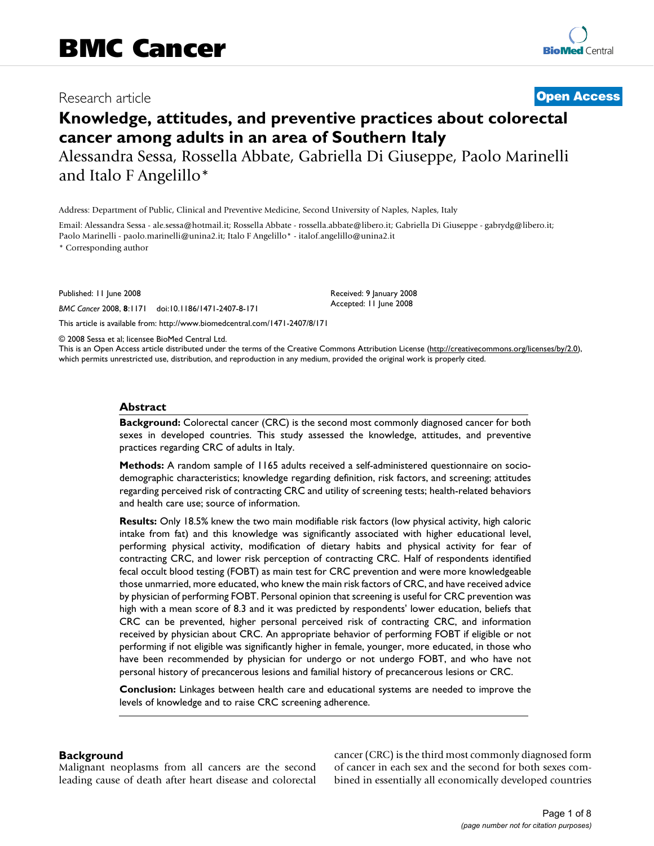## Research article **[Open Access](http://www.biomedcentral.com/info/about/charter/)**

# **Knowledge, attitudes, and preventive practices about colorectal cancer among adults in an area of Southern Italy**

Alessandra Sessa, Rossella Abbate, Gabriella Di Giuseppe, Paolo Marinelli and Italo F Angelillo\*

Address: Department of Public, Clinical and Preventive Medicine, Second University of Naples, Naples, Italy

Email: Alessandra Sessa - ale.sessa@hotmail.it; Rossella Abbate - rossella.abbate@libero.it; Gabriella Di Giuseppe - gabrydg@libero.it; Paolo Marinelli - paolo.marinelli@unina2.it; Italo F Angelillo\* - italof.angelillo@unina2.it

\* Corresponding author

Published: 11 June 2008

*BMC Cancer* 2008, **8**:1171 doi:10.1186/1471-2407-8-171

[This article is available from: http://www.biomedcentral.com/1471-2407/8/171](http://www.biomedcentral.com/1471-2407/8/171)

© 2008 Sessa et al; licensee BioMed Central Ltd.

This is an Open Access article distributed under the terms of the Creative Commons Attribution License [\(http://creativecommons.org/licenses/by/2.0\)](http://creativecommons.org/licenses/by/2.0), which permits unrestricted use, distribution, and reproduction in any medium, provided the original work is properly cited.

Received: 9 January 2008 Accepted: 11 June 2008

#### **Abstract**

**Background:** Colorectal cancer (CRC) is the second most commonly diagnosed cancer for both sexes in developed countries. This study assessed the knowledge, attitudes, and preventive practices regarding CRC of adults in Italy.

**Methods:** A random sample of 1165 adults received a self-administered questionnaire on sociodemographic characteristics; knowledge regarding definition, risk factors, and screening; attitudes regarding perceived risk of contracting CRC and utility of screening tests; health-related behaviors and health care use; source of information.

**Results:** Only 18.5% knew the two main modifiable risk factors (low physical activity, high caloric intake from fat) and this knowledge was significantly associated with higher educational level, performing physical activity, modification of dietary habits and physical activity for fear of contracting CRC, and lower risk perception of contracting CRC. Half of respondents identified fecal occult blood testing (FOBT) as main test for CRC prevention and were more knowledgeable those unmarried, more educated, who knew the main risk factors of CRC, and have received advice by physician of performing FOBT. Personal opinion that screening is useful for CRC prevention was high with a mean score of 8.3 and it was predicted by respondents' lower education, beliefs that CRC can be prevented, higher personal perceived risk of contracting CRC, and information received by physician about CRC. An appropriate behavior of performing FOBT if eligible or not performing if not eligible was significantly higher in female, younger, more educated, in those who have been recommended by physician for undergo or not undergo FOBT, and who have not personal history of precancerous lesions and familial history of precancerous lesions or CRC.

**Conclusion:** Linkages between health care and educational systems are needed to improve the levels of knowledge and to raise CRC screening adherence.

#### **Background**

Malignant neoplasms from all cancers are the second leading cause of death after heart disease and colorectal cancer (CRC) is the third most commonly diagnosed form of cancer in each sex and the second for both sexes combined in essentially all economically developed countries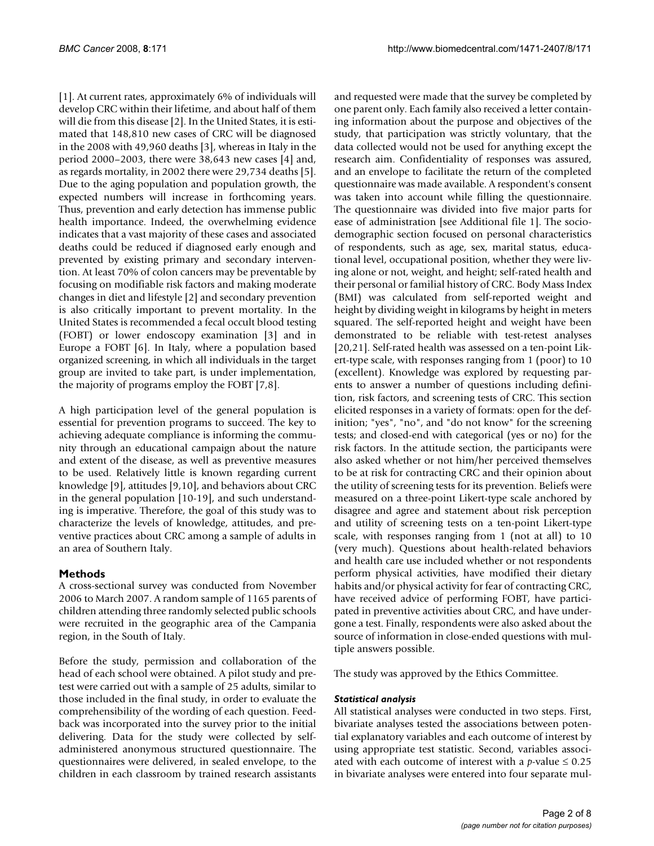[1]. At current rates, approximately 6% of individuals will develop CRC within their lifetime, and about half of them will die from this disease [2]. In the United States, it is estimated that 148,810 new cases of CRC will be diagnosed in the 2008 with 49,960 deaths [3], whereas in Italy in the period 2000–2003, there were 38,643 new cases [4] and, as regards mortality, in 2002 there were 29,734 deaths [5]. Due to the aging population and population growth, the expected numbers will increase in forthcoming years. Thus, prevention and early detection has immense public health importance. Indeed, the overwhelming evidence indicates that a vast majority of these cases and associated deaths could be reduced if diagnosed early enough and prevented by existing primary and secondary intervention. At least 70% of colon cancers may be preventable by focusing on modifiable risk factors and making moderate changes in diet and lifestyle [2] and secondary prevention is also critically important to prevent mortality. In the United States is recommended a fecal occult blood testing (FOBT) or lower endoscopy examination [3] and in Europe a FOBT [6]. In Italy, where a population based organized screening, in which all individuals in the target group are invited to take part, is under implementation, the majority of programs employ the FOBT [7,8].

A high participation level of the general population is essential for prevention programs to succeed. The key to achieving adequate compliance is informing the community through an educational campaign about the nature and extent of the disease, as well as preventive measures to be used. Relatively little is known regarding current knowledge [9], attitudes [9,10], and behaviors about CRC in the general population [10-19], and such understanding is imperative. Therefore, the goal of this study was to characterize the levels of knowledge, attitudes, and preventive practices about CRC among a sample of adults in an area of Southern Italy.

### **Methods**

A cross-sectional survey was conducted from November 2006 to March 2007. A random sample of 1165 parents of children attending three randomly selected public schools were recruited in the geographic area of the Campania region, in the South of Italy.

Before the study, permission and collaboration of the head of each school were obtained. A pilot study and pretest were carried out with a sample of 25 adults, similar to those included in the final study, in order to evaluate the comprehensibility of the wording of each question. Feedback was incorporated into the survey prior to the initial delivering. Data for the study were collected by selfadministered anonymous structured questionnaire. The questionnaires were delivered, in sealed envelope, to the children in each classroom by trained research assistants

and requested were made that the survey be completed by one parent only. Each family also received a letter containing information about the purpose and objectives of the study, that participation was strictly voluntary, that the data collected would not be used for anything except the research aim. Confidentiality of responses was assured, and an envelope to facilitate the return of the completed questionnaire was made available. A respondent's consent was taken into account while filling the questionnaire. The questionnaire was divided into five major parts for ease of administration [see Additional file 1]. The sociodemographic section focused on personal characteristics of respondents, such as age, sex, marital status, educational level, occupational position, whether they were living alone or not, weight, and height; self-rated health and their personal or familial history of CRC. Body Mass Index (BMI) was calculated from self-reported weight and height by dividing weight in kilograms by height in meters squared. The self-reported height and weight have been demonstrated to be reliable with test-retest analyses [20,21]. Self-rated health was assessed on a ten-point Likert-type scale, with responses ranging from 1 (poor) to 10 (excellent). Knowledge was explored by requesting parents to answer a number of questions including definition, risk factors, and screening tests of CRC. This section elicited responses in a variety of formats: open for the definition; "yes", "no", and "do not know" for the screening tests; and closed-end with categorical (yes or no) for the risk factors. In the attitude section, the participants were also asked whether or not him/her perceived themselves to be at risk for contracting CRC and their opinion about the utility of screening tests for its prevention. Beliefs were measured on a three-point Likert-type scale anchored by disagree and agree and statement about risk perception and utility of screening tests on a ten-point Likert-type scale, with responses ranging from 1 (not at all) to 10 (very much). Questions about health-related behaviors and health care use included whether or not respondents perform physical activities, have modified their dietary habits and/or physical activity for fear of contracting CRC, have received advice of performing FOBT, have participated in preventive activities about CRC, and have undergone a test. Finally, respondents were also asked about the source of information in close-ended questions with multiple answers possible.

The study was approved by the Ethics Committee.

#### *Statistical analysis*

All statistical analyses were conducted in two steps. First, bivariate analyses tested the associations between potential explanatory variables and each outcome of interest by using appropriate test statistic. Second, variables associated with each outcome of interest with a *p*-value  $\leq 0.25$ in bivariate analyses were entered into four separate mul-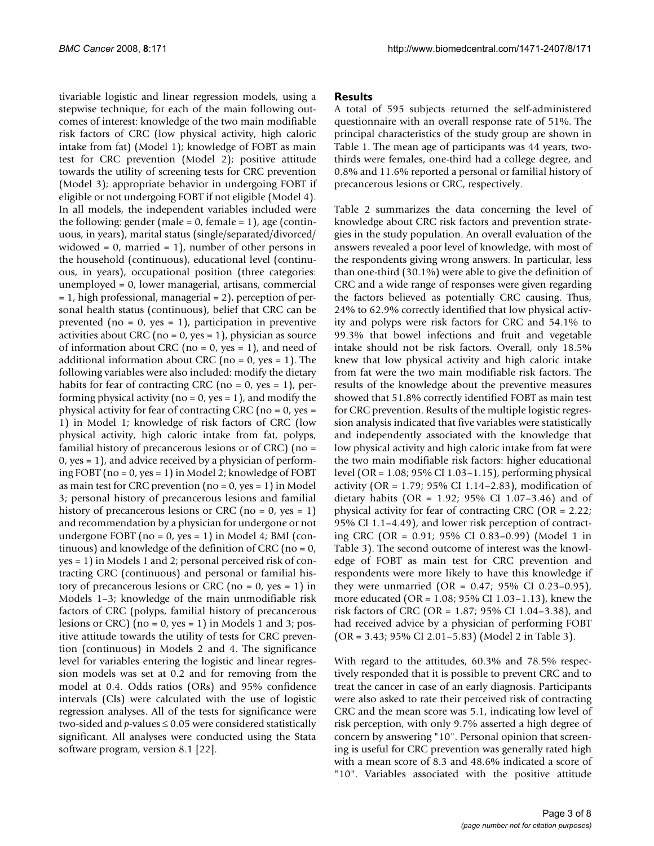tivariable logistic and linear regression models, using a stepwise technique, for each of the main following outcomes of interest: knowledge of the two main modifiable risk factors of CRC (low physical activity, high caloric intake from fat) (Model 1); knowledge of FOBT as main test for CRC prevention (Model 2); positive attitude towards the utility of screening tests for CRC prevention (Model 3); appropriate behavior in undergoing FOBT if eligible or not undergoing FOBT if not eligible (Model 4). In all models, the independent variables included were the following: gender (male =  $0$ , female =  $1$ ), age (continuous, in years), marital status (single/separated/divorced/ widowed =  $0$ , married = 1), number of other persons in the household (continuous), educational level (continuous, in years), occupational position (three categories: unemployed = 0, lower managerial, artisans, commercial  $= 1$ , high professional, managerial  $= 2$ ), perception of personal health status (continuous), belief that CRC can be prevented (no =  $0$ , yes = 1), participation in preventive activities about CRC ( $no = 0$ ,  $yes = 1$ ), physician as source of information about CRC (no =  $0$ , yes = 1), and need of additional information about CRC (no =  $0$ , yes = 1). The following variables were also included: modify the dietary habits for fear of contracting CRC (no =  $0$ , yes = 1), performing physical activity ( $no = 0$ ,  $yes = 1$ ), and modify the physical activity for fear of contracting CRC ( $no = 0$ ,  $yes =$ 1) in Model 1; knowledge of risk factors of CRC (low physical activity, high caloric intake from fat, polyps, familial history of precancerous lesions or of CRC) (no = 0, yes = 1), and advice received by a physician of performing FOBT ( $no = 0$ , yes = 1) in Model 2; knowledge of FOBT as main test for CRC prevention ( $no = 0$ , yes = 1) in Model 3; personal history of precancerous lesions and familial history of precancerous lesions or CRC (no =  $0$ , yes = 1) and recommendation by a physician for undergone or not undergone FOBT (no = 0, yes = 1) in Model 4; BMI (continuous) and knowledge of the definition of CRC (no  $= 0$ , yes = 1) in Models 1 and 2; personal perceived risk of contracting CRC (continuous) and personal or familial history of precancerous lesions or CRC (no =  $0$ , yes = 1) in Models 1–3; knowledge of the main unmodifiable risk factors of CRC (polyps, familial history of precancerous lesions or CRC) (no = 0, yes = 1) in Models 1 and 3; positive attitude towards the utility of tests for CRC prevention (continuous) in Models 2 and 4. The significance level for variables entering the logistic and linear regression models was set at 0.2 and for removing from the model at 0.4. Odds ratios (ORs) and 95% confidence intervals (CIs) were calculated with the use of logistic regression analyses. All of the tests for significance were two-sided and  $p$ -values  $\leq 0.05$  were considered statistically significant. All analyses were conducted using the Stata software program, version 8.1 [22].

#### **Results**

A total of 595 subjects returned the self-administered questionnaire with an overall response rate of 51%. The principal characteristics of the study group are shown in Table 1. The mean age of participants was 44 years, twothirds were females, one-third had a college degree, and 0.8% and 11.6% reported a personal or familial history of precancerous lesions or CRC, respectively.

Table 2 summarizes the data concerning the level of knowledge about CRC risk factors and prevention strategies in the study population. An overall evaluation of the answers revealed a poor level of knowledge, with most of the respondents giving wrong answers. In particular, less than one-third (30.1%) were able to give the definition of CRC and a wide range of responses were given regarding the factors believed as potentially CRC causing. Thus, 24% to 62.9% correctly identified that low physical activity and polyps were risk factors for CRC and 54.1% to 99.3% that bowel infections and fruit and vegetable intake should not be risk factors. Overall, only 18.5% knew that low physical activity and high caloric intake from fat were the two main modifiable risk factors. The results of the knowledge about the preventive measures showed that 51.8% correctly identified FOBT as main test for CRC prevention. Results of the multiple logistic regression analysis indicated that five variables were statistically and independently associated with the knowledge that low physical activity and high caloric intake from fat were the two main modifiable risk factors: higher educational level (OR = 1.08; 95% CI 1.03–1.15), performing physical activity (OR = 1.79; 95% CI 1.14–2.83), modification of dietary habits (OR =  $1.92$ ; 95% CI 1.07-3.46) and of physical activity for fear of contracting CRC (OR = 2.22; 95% CI 1.1–4.49), and lower risk perception of contracting CRC (OR = 0.91; 95% CI 0.83–0.99) (Model 1 in Table 3). The second outcome of interest was the knowledge of FOBT as main test for CRC prevention and respondents were more likely to have this knowledge if they were unmarried (OR = 0.47; 95% CI 0.23–0.95), more educated (OR = 1.08; 95% CI 1.03–1.13), knew the risk factors of CRC (OR = 1.87; 95% CI 1.04–3.38), and had received advice by a physician of performing FOBT (OR = 3.43; 95% CI 2.01–5.83) (Model 2 in Table 3).

With regard to the attitudes, 60.3% and 78.5% respectively responded that it is possible to prevent CRC and to treat the cancer in case of an early diagnosis. Participants were also asked to rate their perceived risk of contracting CRC and the mean score was 5.1, indicating low level of risk perception, with only 9.7% asserted a high degree of concern by answering "10". Personal opinion that screening is useful for CRC prevention was generally rated high with a mean score of 8.3 and 48.6% indicated a score of "10". Variables associated with the positive attitude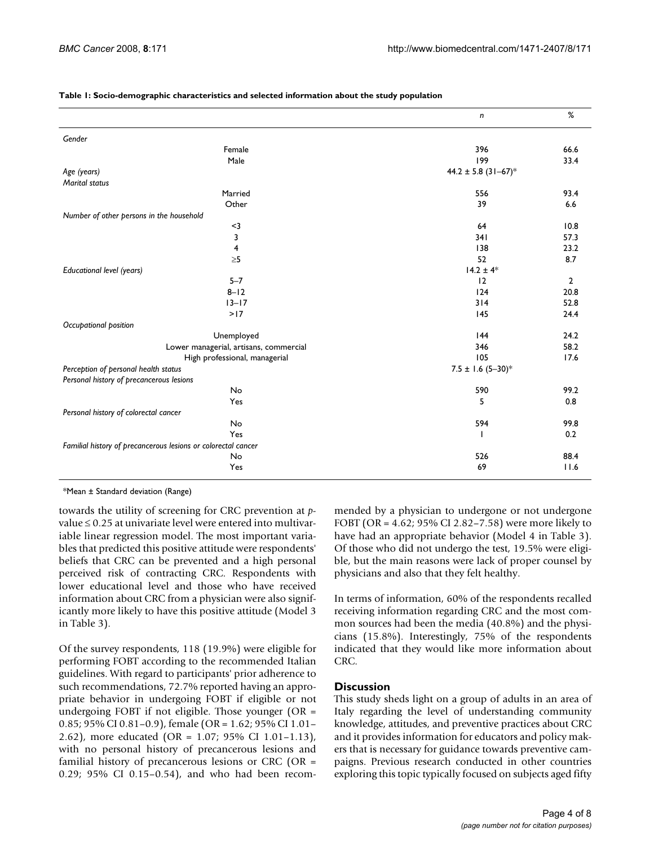|                                                               | n                                 | %              |
|---------------------------------------------------------------|-----------------------------------|----------------|
| Gender                                                        |                                   |                |
| Female                                                        | 396                               | 66.6           |
| Male                                                          | 199                               | 33.4           |
| Age (years)                                                   | 44.2 ± 5.8 $(31-67)$ <sup>*</sup> |                |
| <b>Marital status</b>                                         |                                   |                |
| Married                                                       | 556                               | 93.4           |
| Other                                                         | 39                                | 6.6            |
| Number of other persons in the household                      |                                   |                |
| $3$                                                           | 64                                | 10.8           |
| 3                                                             | 341                               | 57.3           |
| 4                                                             | 138                               | 23.2           |
| $\geq 5$                                                      | 52                                | 8.7            |
| Educational level (years)                                     | $14.2 \pm 4*$                     |                |
| $5 - 7$                                                       | 12                                | $\overline{2}$ |
| $8 - 12$                                                      | 124                               | 20.8           |
| $13 - 17$                                                     | 314                               | 52.8           |
| >17                                                           | 145                               | 24.4           |
| Occupational position                                         |                                   |                |
| Unemployed                                                    | 44                                | 24.2           |
| Lower managerial, artisans, commercial                        | 346                               | 58.2           |
| High professional, managerial                                 | 105                               | 17.6           |
| Perception of personal health status                          | $7.5 \pm 1.6$ (5-30)*             |                |
| Personal history of precancerous lesions                      |                                   |                |
| No                                                            | 590                               | 99.2           |
| Yes                                                           | 5                                 | 0.8            |
| Personal history of colorectal cancer                         |                                   |                |
| No                                                            | 594                               | 99.8           |
| Yes                                                           | <b>I</b>                          | 0.2            |
| Familial history of precancerous lesions or colorectal cancer |                                   |                |
| No                                                            | 526                               | 88.4           |
| Yes                                                           | 69                                | 11.6           |

#### **Table 1: Socio-demographic characteristics and selected information about the study population**

\*Mean ± Standard deviation (Range)

towards the utility of screening for CRC prevention at *p*value ≤ 0.25 at univariate level were entered into multivariable linear regression model. The most important variables that predicted this positive attitude were respondents' beliefs that CRC can be prevented and a high personal perceived risk of contracting CRC. Respondents with lower educational level and those who have received information about CRC from a physician were also significantly more likely to have this positive attitude (Model 3 in Table 3).

Of the survey respondents, 118 (19.9%) were eligible for performing FOBT according to the recommended Italian guidelines. With regard to participants' prior adherence to such recommendations, 72.7% reported having an appropriate behavior in undergoing FOBT if eligible or not undergoing FOBT if not eligible. Those younger  $(OR =$ 0.85; 95% CI 0.81–0.9), female (OR = 1.62; 95% CI 1.01– 2.62), more educated (OR = 1.07; 95% CI 1.01–1.13), with no personal history of precancerous lesions and familial history of precancerous lesions or CRC (OR = 0.29; 95% CI 0.15–0.54), and who had been recommended by a physician to undergone or not undergone FOBT (OR = 4.62; 95% CI 2.82–7.58) were more likely to have had an appropriate behavior (Model 4 in Table 3). Of those who did not undergo the test, 19.5% were eligible, but the main reasons were lack of proper counsel by physicians and also that they felt healthy.

In terms of information, 60% of the respondents recalled receiving information regarding CRC and the most common sources had been the media (40.8%) and the physicians (15.8%). Interestingly, 75% of the respondents indicated that they would like more information about CRC.

#### **Discussion**

This study sheds light on a group of adults in an area of Italy regarding the level of understanding community knowledge, attitudes, and preventive practices about CRC and it provides information for educators and policy makers that is necessary for guidance towards preventive campaigns. Previous research conducted in other countries exploring this topic typically focused on subjects aged fifty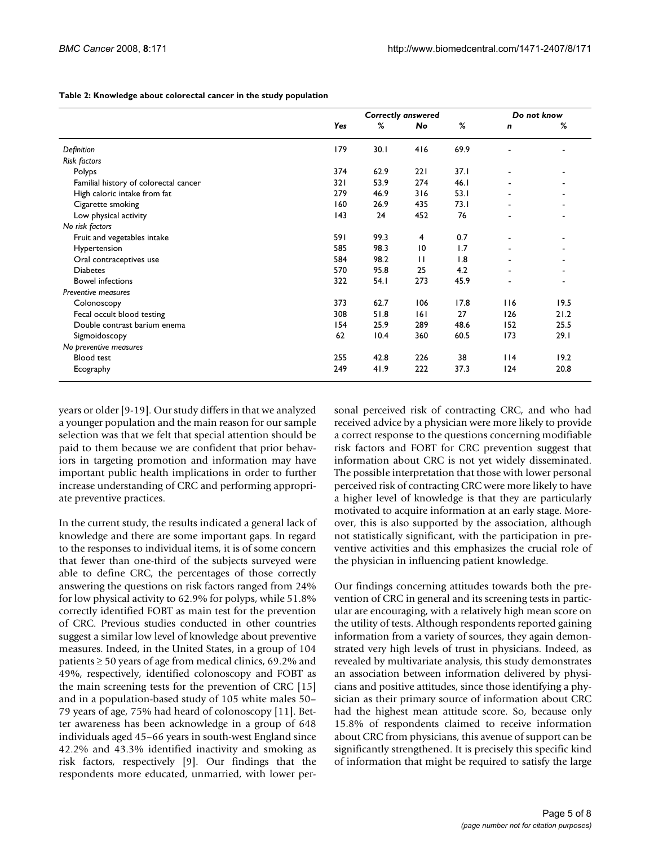**Table 2: Knowledge about colorectal cancer in the study population**

|                                       |     | <b>Correctly answered</b> |                 |      | Do not know |      |
|---------------------------------------|-----|---------------------------|-----------------|------|-------------|------|
|                                       | Yes | %                         | No              | %    | n           | %    |
| Definition                            | 179 | 30.1                      | 416             | 69.9 |             |      |
| <b>Risk factors</b>                   |     |                           |                 |      |             |      |
| Polyps                                | 374 | 62.9                      | 221             | 37.1 |             |      |
| Familial history of colorectal cancer | 321 | 53.9                      | 274             | 46.1 |             |      |
| High caloric intake from fat          | 279 | 46.9                      | 316             | 53.1 |             |      |
| Cigarette smoking                     | 160 | 26.9                      | 435             | 73.1 |             |      |
| Low physical activity                 | 143 | 24                        | 452             | 76   |             |      |
| No risk factors                       |     |                           |                 |      |             |      |
| Fruit and vegetables intake           | 591 | 99.3                      | 4               | 0.7  |             |      |
| Hypertension                          | 585 | 98.3                      | $\overline{10}$ | 1.7  |             |      |
| Oral contraceptives use               | 584 | 98.2                      | $\mathbf{H}$    | 1.8  |             |      |
| <b>Diabetes</b>                       | 570 | 95.8                      | 25              | 4.2  |             |      |
| <b>Bowel infections</b>               | 322 | 54.I                      | 273             | 45.9 |             |      |
| <b>Preventive measures</b>            |     |                           |                 |      |             |      |
| Colonoscopy                           | 373 | 62.7                      | 106             | 17.8 | 116         | 19.5 |
| Fecal occult blood testing            | 308 | 51.8                      | 161             | 27   | 126         | 21.2 |
| Double contrast barium enema          | 154 | 25.9                      | 289             | 48.6 | 152         | 25.5 |
| Sigmoidoscopy                         | 62  | 10.4                      | 360             | 60.5 | 173         | 29.1 |
| No preventive measures                |     |                           |                 |      |             |      |
| <b>Blood</b> test                     | 255 | 42.8                      | 226             | 38   | 114         | 19.2 |
| Ecography                             | 249 | 41.9                      | 222             | 37.3 | 124         | 20.8 |

years or older [9-19]. Our study differs in that we analyzed a younger population and the main reason for our sample selection was that we felt that special attention should be paid to them because we are confident that prior behaviors in targeting promotion and information may have important public health implications in order to further increase understanding of CRC and performing appropriate preventive practices.

In the current study, the results indicated a general lack of knowledge and there are some important gaps. In regard to the responses to individual items, it is of some concern that fewer than one-third of the subjects surveyed were able to define CRC, the percentages of those correctly answering the questions on risk factors ranged from 24% for low physical activity to 62.9% for polyps, while 51.8% correctly identified FOBT as main test for the prevention of CRC. Previous studies conducted in other countries suggest a similar low level of knowledge about preventive measures. Indeed, in the United States, in a group of 104 patients ≥ 50 years of age from medical clinics, 69.2% and 49%, respectively, identified colonoscopy and FOBT as the main screening tests for the prevention of CRC [15] and in a population-based study of 105 white males 50– 79 years of age, 75% had heard of colonoscopy [11]. Better awareness has been acknowledge in a group of 648 individuals aged 45–66 years in south-west England since 42.2% and 43.3% identified inactivity and smoking as risk factors, respectively [9]. Our findings that the respondents more educated, unmarried, with lower personal perceived risk of contracting CRC, and who had received advice by a physician were more likely to provide a correct response to the questions concerning modifiable risk factors and FOBT for CRC prevention suggest that information about CRC is not yet widely disseminated. The possible interpretation that those with lower personal perceived risk of contracting CRC were more likely to have a higher level of knowledge is that they are particularly motivated to acquire information at an early stage. Moreover, this is also supported by the association, although not statistically significant, with the participation in preventive activities and this emphasizes the crucial role of the physician in influencing patient knowledge.

Our findings concerning attitudes towards both the prevention of CRC in general and its screening tests in particular are encouraging, with a relatively high mean score on the utility of tests. Although respondents reported gaining information from a variety of sources, they again demonstrated very high levels of trust in physicians. Indeed, as revealed by multivariate analysis, this study demonstrates an association between information delivered by physicians and positive attitudes, since those identifying a physician as their primary source of information about CRC had the highest mean attitude score. So, because only 15.8% of respondents claimed to receive information about CRC from physicians, this avenue of support can be significantly strengthened. It is precisely this specific kind of information that might be required to satisfy the large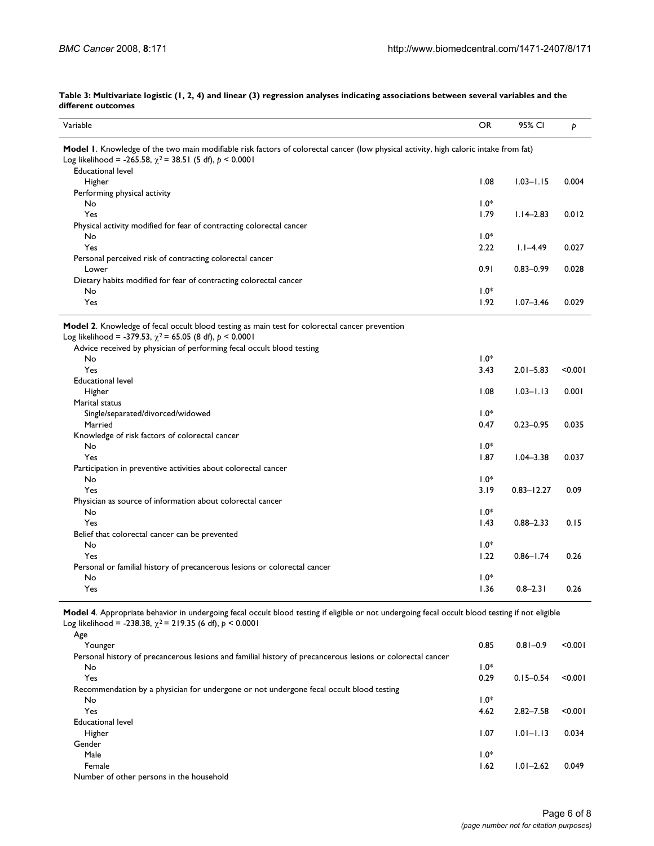| Table 3: Multivariate logistic (1, 2, 4) and linear (3) regression analyses indicating associations between several variables and the |  |  |
|---------------------------------------------------------------------------------------------------------------------------------------|--|--|
| different outcomes                                                                                                                    |  |  |

| Model I. Knowledge of the two main modifiable risk factors of colorectal cancer (low physical activity, high caloric intake from fat)<br>Log likelihood = -265.58, $\chi^2$ = 38.51 (5 df), $p < 0.0001$<br><b>Educational level</b><br>0.004<br>Higher<br>1.08<br>$1.03 - 1.15$<br>Performing physical activity<br>$1.0*$<br>No<br>Yes<br>1.79<br>$1.14 - 2.83$<br>0.012<br>Physical activity modified for fear of contracting colorectal cancer<br>No<br>$1.0*$<br>Yes<br>2.22<br>$1.1 - 4.49$<br>0.027<br>Personal perceived risk of contracting colorectal cancer<br>0.91<br>0.028<br>$0.83 - 0.99$<br>Lower<br>Dietary habits modified for fear of contracting colorectal cancer<br>$1.0*$<br>No<br>Yes<br>1.92<br>$1.07 - 3.46$<br>0.029<br>Model 2. Knowledge of fecal occult blood testing as main test for colorectal cancer prevention<br>Log likelihood = -379.53, $\chi^2$ = 65.05 (8 df), $p < 0.0001$<br>Advice received by physician of performing fecal occult blood testing<br>$1.0*$<br>No<br>Yes<br>3.43<br>$2.01 - 5.83$<br>< 0.001<br><b>Educational level</b><br>0.001<br>1.08<br>$1.03 - 1.13$<br>Higher<br>Marital status<br>$1.0*$<br>Single/separated/divorced/widowed<br>Married<br>0.47<br>$0.23 - 0.95$<br>0.035<br>Knowledge of risk factors of colorectal cancer<br>$1.0*$<br>No<br>Yes<br>1.87<br>$1.04 - 3.38$<br>0.037<br>Participation in preventive activities about colorectal cancer<br>$1.0*$<br>No<br>Yes<br>3.19<br>$0.83 - 12.27$<br>0.09<br>Physician as source of information about colorectal cancer<br>$1.0*$<br>No<br>$0.88 - 2.33$<br>0.15<br>Yes<br>1.43<br>Belief that colorectal cancer can be prevented<br>$1.0*$<br>No<br>0.26<br>Yes<br>1.22<br>$0.86 - 1.74$<br>Personal or familial history of precancerous lesions or colorectal cancer<br>$1.0*$<br>No<br>Yes<br>$0.8 - 2.31$<br>0.26<br>1.36 | Variable | <b>OR</b> | 95% CI | Þ |
|---------------------------------------------------------------------------------------------------------------------------------------------------------------------------------------------------------------------------------------------------------------------------------------------------------------------------------------------------------------------------------------------------------------------------------------------------------------------------------------------------------------------------------------------------------------------------------------------------------------------------------------------------------------------------------------------------------------------------------------------------------------------------------------------------------------------------------------------------------------------------------------------------------------------------------------------------------------------------------------------------------------------------------------------------------------------------------------------------------------------------------------------------------------------------------------------------------------------------------------------------------------------------------------------------------------------------------------------------------------------------------------------------------------------------------------------------------------------------------------------------------------------------------------------------------------------------------------------------------------------------------------------------------------------------------------------------------------------------------------------------------------------------------------------------------------------------------------------------------|----------|-----------|--------|---|
|                                                                                                                                                                                                                                                                                                                                                                                                                                                                                                                                                                                                                                                                                                                                                                                                                                                                                                                                                                                                                                                                                                                                                                                                                                                                                                                                                                                                                                                                                                                                                                                                                                                                                                                                                                                                                                                         |          |           |        |   |
|                                                                                                                                                                                                                                                                                                                                                                                                                                                                                                                                                                                                                                                                                                                                                                                                                                                                                                                                                                                                                                                                                                                                                                                                                                                                                                                                                                                                                                                                                                                                                                                                                                                                                                                                                                                                                                                         |          |           |        |   |
|                                                                                                                                                                                                                                                                                                                                                                                                                                                                                                                                                                                                                                                                                                                                                                                                                                                                                                                                                                                                                                                                                                                                                                                                                                                                                                                                                                                                                                                                                                                                                                                                                                                                                                                                                                                                                                                         |          |           |        |   |
|                                                                                                                                                                                                                                                                                                                                                                                                                                                                                                                                                                                                                                                                                                                                                                                                                                                                                                                                                                                                                                                                                                                                                                                                                                                                                                                                                                                                                                                                                                                                                                                                                                                                                                                                                                                                                                                         |          |           |        |   |
|                                                                                                                                                                                                                                                                                                                                                                                                                                                                                                                                                                                                                                                                                                                                                                                                                                                                                                                                                                                                                                                                                                                                                                                                                                                                                                                                                                                                                                                                                                                                                                                                                                                                                                                                                                                                                                                         |          |           |        |   |
|                                                                                                                                                                                                                                                                                                                                                                                                                                                                                                                                                                                                                                                                                                                                                                                                                                                                                                                                                                                                                                                                                                                                                                                                                                                                                                                                                                                                                                                                                                                                                                                                                                                                                                                                                                                                                                                         |          |           |        |   |
|                                                                                                                                                                                                                                                                                                                                                                                                                                                                                                                                                                                                                                                                                                                                                                                                                                                                                                                                                                                                                                                                                                                                                                                                                                                                                                                                                                                                                                                                                                                                                                                                                                                                                                                                                                                                                                                         |          |           |        |   |
|                                                                                                                                                                                                                                                                                                                                                                                                                                                                                                                                                                                                                                                                                                                                                                                                                                                                                                                                                                                                                                                                                                                                                                                                                                                                                                                                                                                                                                                                                                                                                                                                                                                                                                                                                                                                                                                         |          |           |        |   |
|                                                                                                                                                                                                                                                                                                                                                                                                                                                                                                                                                                                                                                                                                                                                                                                                                                                                                                                                                                                                                                                                                                                                                                                                                                                                                                                                                                                                                                                                                                                                                                                                                                                                                                                                                                                                                                                         |          |           |        |   |
|                                                                                                                                                                                                                                                                                                                                                                                                                                                                                                                                                                                                                                                                                                                                                                                                                                                                                                                                                                                                                                                                                                                                                                                                                                                                                                                                                                                                                                                                                                                                                                                                                                                                                                                                                                                                                                                         |          |           |        |   |
|                                                                                                                                                                                                                                                                                                                                                                                                                                                                                                                                                                                                                                                                                                                                                                                                                                                                                                                                                                                                                                                                                                                                                                                                                                                                                                                                                                                                                                                                                                                                                                                                                                                                                                                                                                                                                                                         |          |           |        |   |
|                                                                                                                                                                                                                                                                                                                                                                                                                                                                                                                                                                                                                                                                                                                                                                                                                                                                                                                                                                                                                                                                                                                                                                                                                                                                                                                                                                                                                                                                                                                                                                                                                                                                                                                                                                                                                                                         |          |           |        |   |
|                                                                                                                                                                                                                                                                                                                                                                                                                                                                                                                                                                                                                                                                                                                                                                                                                                                                                                                                                                                                                                                                                                                                                                                                                                                                                                                                                                                                                                                                                                                                                                                                                                                                                                                                                                                                                                                         |          |           |        |   |
|                                                                                                                                                                                                                                                                                                                                                                                                                                                                                                                                                                                                                                                                                                                                                                                                                                                                                                                                                                                                                                                                                                                                                                                                                                                                                                                                                                                                                                                                                                                                                                                                                                                                                                                                                                                                                                                         |          |           |        |   |
|                                                                                                                                                                                                                                                                                                                                                                                                                                                                                                                                                                                                                                                                                                                                                                                                                                                                                                                                                                                                                                                                                                                                                                                                                                                                                                                                                                                                                                                                                                                                                                                                                                                                                                                                                                                                                                                         |          |           |        |   |
|                                                                                                                                                                                                                                                                                                                                                                                                                                                                                                                                                                                                                                                                                                                                                                                                                                                                                                                                                                                                                                                                                                                                                                                                                                                                                                                                                                                                                                                                                                                                                                                                                                                                                                                                                                                                                                                         |          |           |        |   |
|                                                                                                                                                                                                                                                                                                                                                                                                                                                                                                                                                                                                                                                                                                                                                                                                                                                                                                                                                                                                                                                                                                                                                                                                                                                                                                                                                                                                                                                                                                                                                                                                                                                                                                                                                                                                                                                         |          |           |        |   |
|                                                                                                                                                                                                                                                                                                                                                                                                                                                                                                                                                                                                                                                                                                                                                                                                                                                                                                                                                                                                                                                                                                                                                                                                                                                                                                                                                                                                                                                                                                                                                                                                                                                                                                                                                                                                                                                         |          |           |        |   |
|                                                                                                                                                                                                                                                                                                                                                                                                                                                                                                                                                                                                                                                                                                                                                                                                                                                                                                                                                                                                                                                                                                                                                                                                                                                                                                                                                                                                                                                                                                                                                                                                                                                                                                                                                                                                                                                         |          |           |        |   |
|                                                                                                                                                                                                                                                                                                                                                                                                                                                                                                                                                                                                                                                                                                                                                                                                                                                                                                                                                                                                                                                                                                                                                                                                                                                                                                                                                                                                                                                                                                                                                                                                                                                                                                                                                                                                                                                         |          |           |        |   |
|                                                                                                                                                                                                                                                                                                                                                                                                                                                                                                                                                                                                                                                                                                                                                                                                                                                                                                                                                                                                                                                                                                                                                                                                                                                                                                                                                                                                                                                                                                                                                                                                                                                                                                                                                                                                                                                         |          |           |        |   |
|                                                                                                                                                                                                                                                                                                                                                                                                                                                                                                                                                                                                                                                                                                                                                                                                                                                                                                                                                                                                                                                                                                                                                                                                                                                                                                                                                                                                                                                                                                                                                                                                                                                                                                                                                                                                                                                         |          |           |        |   |
|                                                                                                                                                                                                                                                                                                                                                                                                                                                                                                                                                                                                                                                                                                                                                                                                                                                                                                                                                                                                                                                                                                                                                                                                                                                                                                                                                                                                                                                                                                                                                                                                                                                                                                                                                                                                                                                         |          |           |        |   |
|                                                                                                                                                                                                                                                                                                                                                                                                                                                                                                                                                                                                                                                                                                                                                                                                                                                                                                                                                                                                                                                                                                                                                                                                                                                                                                                                                                                                                                                                                                                                                                                                                                                                                                                                                                                                                                                         |          |           |        |   |
|                                                                                                                                                                                                                                                                                                                                                                                                                                                                                                                                                                                                                                                                                                                                                                                                                                                                                                                                                                                                                                                                                                                                                                                                                                                                                                                                                                                                                                                                                                                                                                                                                                                                                                                                                                                                                                                         |          |           |        |   |
|                                                                                                                                                                                                                                                                                                                                                                                                                                                                                                                                                                                                                                                                                                                                                                                                                                                                                                                                                                                                                                                                                                                                                                                                                                                                                                                                                                                                                                                                                                                                                                                                                                                                                                                                                                                                                                                         |          |           |        |   |
|                                                                                                                                                                                                                                                                                                                                                                                                                                                                                                                                                                                                                                                                                                                                                                                                                                                                                                                                                                                                                                                                                                                                                                                                                                                                                                                                                                                                                                                                                                                                                                                                                                                                                                                                                                                                                                                         |          |           |        |   |
|                                                                                                                                                                                                                                                                                                                                                                                                                                                                                                                                                                                                                                                                                                                                                                                                                                                                                                                                                                                                                                                                                                                                                                                                                                                                                                                                                                                                                                                                                                                                                                                                                                                                                                                                                                                                                                                         |          |           |        |   |
|                                                                                                                                                                                                                                                                                                                                                                                                                                                                                                                                                                                                                                                                                                                                                                                                                                                                                                                                                                                                                                                                                                                                                                                                                                                                                                                                                                                                                                                                                                                                                                                                                                                                                                                                                                                                                                                         |          |           |        |   |
|                                                                                                                                                                                                                                                                                                                                                                                                                                                                                                                                                                                                                                                                                                                                                                                                                                                                                                                                                                                                                                                                                                                                                                                                                                                                                                                                                                                                                                                                                                                                                                                                                                                                                                                                                                                                                                                         |          |           |        |   |
|                                                                                                                                                                                                                                                                                                                                                                                                                                                                                                                                                                                                                                                                                                                                                                                                                                                                                                                                                                                                                                                                                                                                                                                                                                                                                                                                                                                                                                                                                                                                                                                                                                                                                                                                                                                                                                                         |          |           |        |   |
|                                                                                                                                                                                                                                                                                                                                                                                                                                                                                                                                                                                                                                                                                                                                                                                                                                                                                                                                                                                                                                                                                                                                                                                                                                                                                                                                                                                                                                                                                                                                                                                                                                                                                                                                                                                                                                                         |          |           |        |   |
|                                                                                                                                                                                                                                                                                                                                                                                                                                                                                                                                                                                                                                                                                                                                                                                                                                                                                                                                                                                                                                                                                                                                                                                                                                                                                                                                                                                                                                                                                                                                                                                                                                                                                                                                                                                                                                                         |          |           |        |   |
|                                                                                                                                                                                                                                                                                                                                                                                                                                                                                                                                                                                                                                                                                                                                                                                                                                                                                                                                                                                                                                                                                                                                                                                                                                                                                                                                                                                                                                                                                                                                                                                                                                                                                                                                                                                                                                                         |          |           |        |   |
|                                                                                                                                                                                                                                                                                                                                                                                                                                                                                                                                                                                                                                                                                                                                                                                                                                                                                                                                                                                                                                                                                                                                                                                                                                                                                                                                                                                                                                                                                                                                                                                                                                                                                                                                                                                                                                                         |          |           |        |   |
|                                                                                                                                                                                                                                                                                                                                                                                                                                                                                                                                                                                                                                                                                                                                                                                                                                                                                                                                                                                                                                                                                                                                                                                                                                                                                                                                                                                                                                                                                                                                                                                                                                                                                                                                                                                                                                                         |          |           |        |   |
|                                                                                                                                                                                                                                                                                                                                                                                                                                                                                                                                                                                                                                                                                                                                                                                                                                                                                                                                                                                                                                                                                                                                                                                                                                                                                                                                                                                                                                                                                                                                                                                                                                                                                                                                                                                                                                                         |          |           |        |   |
|                                                                                                                                                                                                                                                                                                                                                                                                                                                                                                                                                                                                                                                                                                                                                                                                                                                                                                                                                                                                                                                                                                                                                                                                                                                                                                                                                                                                                                                                                                                                                                                                                                                                                                                                                                                                                                                         |          |           |        |   |

**Model 4**. Appropriate behavior in undergoing fecal occult blood testing if eligible or not undergoing fecal occult blood testing if not eligible Log likelihood = -238.38,  $\chi^2$  = 219.35 (6 df),  $p < 0.0001$ 

| Age                                                                                                        |        |               |         |
|------------------------------------------------------------------------------------------------------------|--------|---------------|---------|
| Younger                                                                                                    | 0.85   | $0.81 - 0.9$  | < 0.001 |
| Personal history of precancerous lesions and familial history of precancerous lesions or colorectal cancer |        |               |         |
| No.                                                                                                        | $1.0*$ |               |         |
| Yes                                                                                                        | 0.29   | $0.15 - 0.54$ | < 0.001 |
| Recommendation by a physician for undergone or not undergone fecal occult blood testing                    |        |               |         |
| No                                                                                                         | $1.0*$ |               |         |
| Yes                                                                                                        | 4.62   | $2.82 - 7.58$ | < 0.001 |
| <b>Educational level</b>                                                                                   |        |               |         |
| Higher                                                                                                     | 1.07   | $1.01 - 1.13$ | 0.034   |
| Gender                                                                                                     |        |               |         |
| Male                                                                                                       | $1.0*$ |               |         |
| Female                                                                                                     | 1.62   | $1.01 - 2.62$ | 0.049   |
| Number of other persons in the household                                                                   |        |               |         |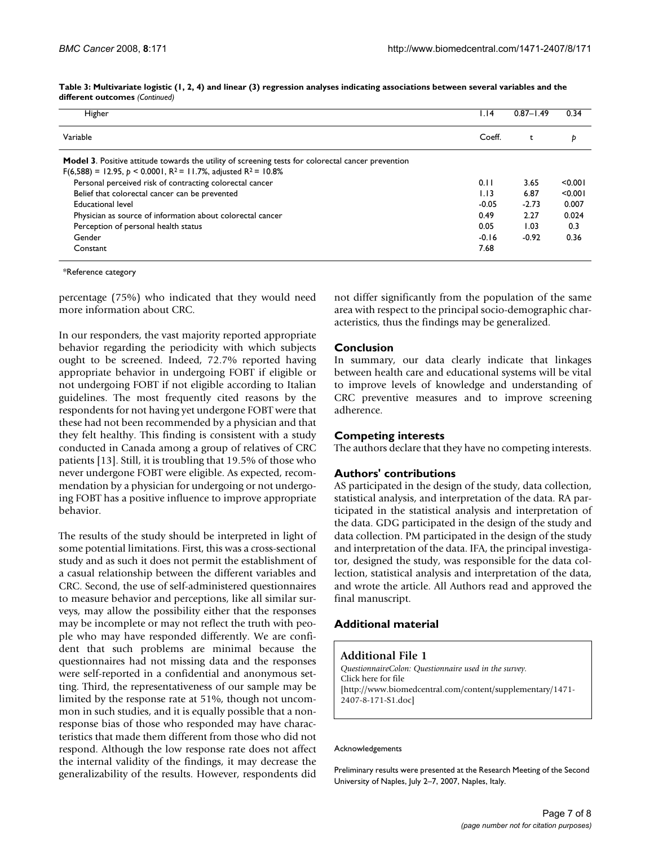| Higher                                                                                                    | I.I4    | $0.87 - 1.49$ | 0.34    |
|-----------------------------------------------------------------------------------------------------------|---------|---------------|---------|
| Variable                                                                                                  | Coeff.  | t             | Ð       |
| <b>Model 3.</b> Positive attitude towards the utility of screening tests for colorectal cancer prevention |         |               |         |
| $F(6,588) = 12.95$ , $p < 0.0001$ , $R^2 = 11.7\%$ , adjusted $R^2 = 10.8\%$                              |         |               |         |
| Personal perceived risk of contracting colorectal cancer                                                  | 0.11    | 3.65          | < 0.001 |
| Belief that colorectal cancer can be prevented                                                            | 1.13    | 6.87          | < 0.001 |
| <b>Educational level</b>                                                                                  | $-0.05$ | $-2.73$       | 0.007   |
| Physician as source of information about colorectal cancer                                                | 0.49    | 2.27          | 0.024   |
| Perception of personal health status                                                                      | 0.05    | 1.03          | 0.3     |
| Gender                                                                                                    | $-0.16$ | $-0.92$       | 0.36    |
| Constant                                                                                                  | 7.68    |               |         |

**Table 3: Multivariate logistic (1, 2, 4) and linear (3) regression analyses indicating associations between several variables and the different outcomes** *(Continued)*

\*Reference category

percentage (75%) who indicated that they would need more information about CRC.

In our responders, the vast majority reported appropriate behavior regarding the periodicity with which subjects ought to be screened. Indeed, 72.7% reported having appropriate behavior in undergoing FOBT if eligible or not undergoing FOBT if not eligible according to Italian guidelines. The most frequently cited reasons by the respondents for not having yet undergone FOBT were that these had not been recommended by a physician and that they felt healthy. This finding is consistent with a study conducted in Canada among a group of relatives of CRC patients [13]. Still, it is troubling that 19.5% of those who never undergone FOBT were eligible. As expected, recommendation by a physician for undergoing or not undergoing FOBT has a positive influence to improve appropriate behavior.

The results of the study should be interpreted in light of some potential limitations. First, this was a cross-sectional study and as such it does not permit the establishment of a casual relationship between the different variables and CRC. Second, the use of self-administered questionnaires to measure behavior and perceptions, like all similar surveys, may allow the possibility either that the responses may be incomplete or may not reflect the truth with people who may have responded differently. We are confident that such problems are minimal because the questionnaires had not missing data and the responses were self-reported in a confidential and anonymous setting. Third, the representativeness of our sample may be limited by the response rate at 51%, though not uncommon in such studies, and it is equally possible that a nonresponse bias of those who responded may have characteristics that made them different from those who did not respond. Although the low response rate does not affect the internal validity of the findings, it may decrease the generalizability of the results. However, respondents did not differ significantly from the population of the same area with respect to the principal socio-demographic characteristics, thus the findings may be generalized.

#### **Conclusion**

In summary, our data clearly indicate that linkages between health care and educational systems will be vital to improve levels of knowledge and understanding of CRC preventive measures and to improve screening adherence.

#### **Competing interests**

The authors declare that they have no competing interests.

#### **Authors' contributions**

AS participated in the design of the study, data collection, statistical analysis, and interpretation of the data. RA participated in the statistical analysis and interpretation of the data. GDG participated in the design of the study and data collection. PM participated in the design of the study and interpretation of the data. IFA, the principal investigator, designed the study, was responsible for the data collection, statistical analysis and interpretation of the data, and wrote the article. All Authors read and approved the final manuscript.

#### **Additional material**

#### **Additional File 1**

*QuestionnaireColon: Questionnaire used in the survey.* Click here for file [\[http://www.biomedcentral.com/content/supplementary/1471-](http://www.biomedcentral.com/content/supplementary/1471-2407-8-171-S1.doc) 2407-8-171-S1.doc]

#### Acknowledgements

Preliminary results were presented at the Research Meeting of the Second University of Naples, July 2–7, 2007, Naples, Italy.